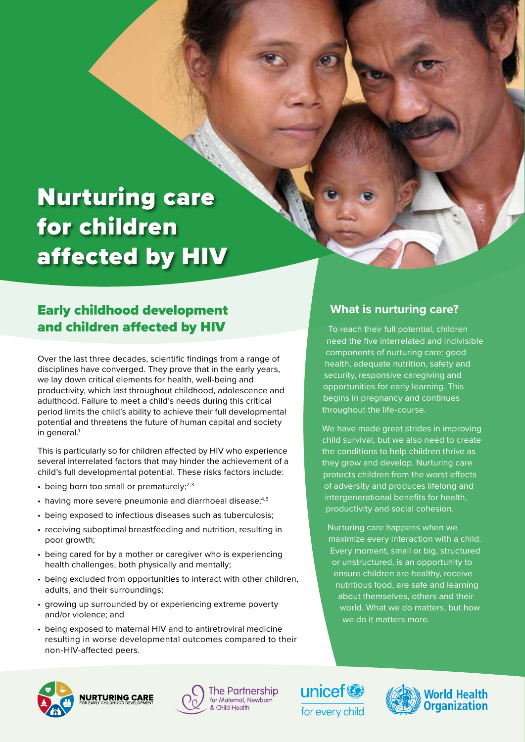# Nurturing care for children affected by HIV

# Early childhood development and children affected by HIV

Over the last three decades, scientific findings from a range of disciplines have converged. They prove that in the early years, we lay down critical elements for health, well-being and productivity, which last throughout childhood, adolescence and adulthood. Failure to meet a child's needs during this critical period limits the child's ability to achieve their full developmental potential and threatens the future of human capital and society in general.<sup>1</sup>

This is particularly so for children affected by HIV who experience several interrelated factors that may hinder the achievement of a child's full developmental potential. These risks factors include:

- $\cdot$  being born too small or prematurely;<sup>2,3</sup>
- $\cdot$  having more severe pneumonia and diarrhoeal disease;<sup>4,5</sup>
- being exposed to infectious diseases such as tuberculosis;
- receiving suboptimal breastfeeding and nutrition, resulting in poor growth;
- being cared for by a mother or caregiver who is experiencing health challenges, both physically and mentally;
- being excluded from opportunities to interact with other children, adults, and their surroundings;
- growing up surrounded by or experiencing extreme poverty and/or violence; and
- being exposed to maternal HIV and to antiretroviral medicine resulting in worse developmental outcomes compared to their non-HIV-affected peers.

### **What is nurturing care?**

To reach their full potential, children need the five interrelated and indivisible components of nurturing care: good health, adequate nutrition, safety and security, responsive caregiving and opportunities for early learning. This begins in pregnancy and continues throughout the life-course.

We have made great strides in improving child survival, but we also need to create the conditions to help children thrive as they grow and develop. Nurturing care protects children from the worst effects of adversity and produces lifelong and intergenerational benefits for health, productivity and social cohesion.

Nurturing care happens when we maximize every interaction with a child. Every moment, small or big, structured or unstructured, is an opportunity to ensure children are healthy, receive nutritious food, are safe and learning about themselves, others and their world. What we do matters, but how we do it matters more.







unicef<sup>®</sup> for every child

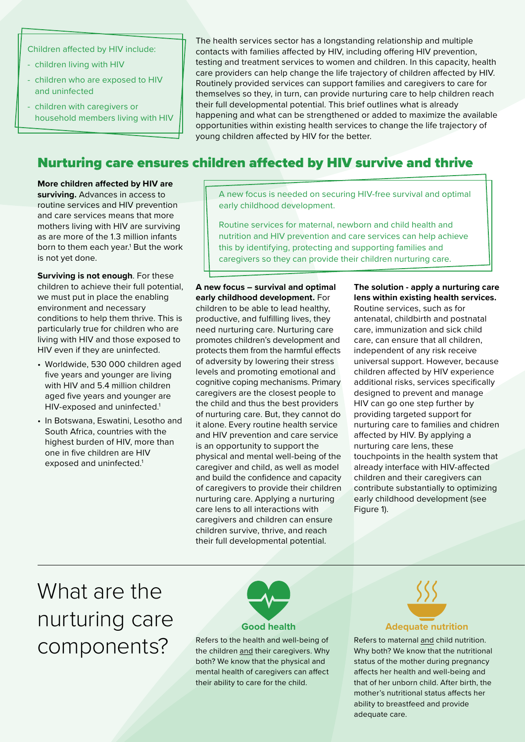Children affected by HIV include:

- children living with HIV
- children who are exposed to HIV and uninfected
- children with caregivers or household members living with HIV

The health services sector has a longstanding relationship and multiple contacts with families affected by HIV, including offering HIV prevention, testing and treatment services to women and children. In this capacity, health care providers can help change the life trajectory of children affected by HIV. Routinely provided services can support families and caregivers to care for themselves so they, in turn, can provide nurturing care to help children reach their full developmental potential. This brief outlines what is already happening and what can be strengthened or added to maximize the available opportunities within existing health services to change the life trajectory of young children affected by HIV for the better.

### Nurturing care ensures children affected by HIV survive and thrive

**More children affected by HIV are surviving.** Advances in access to routine services and HIV prevention and care services means that more mothers living with HIV are surviving as are more of the 1.3 million infants born to them each year.<sup>1</sup> But the work is not yet done.

**Surviving is not enough**. For these children to achieve their full potential, we must put in place the enabling environment and necessary conditions to help them thrive. This is particularly true for children who are living with HIV and those exposed to HIV even if they are uninfected.

- Worldwide, 530 000 children aged five years and younger are living with HIV and 5.4 million children aged five years and younger are HIV-exposed and uninfected.<sup>1</sup>
- In Botswana, Eswatini, Lesotho and South Africa, countries with the highest burden of HIV, more than one in five children are HIV exposed and uninfected.<sup>1</sup>

A new focus is needed on securing HIV-free survival and optimal early childhood development.

Routine services for maternal, newborn and child health and nutrition and HIV prevention and care services can help achieve this by identifying, protecting and supporting families and caregivers so they can provide their children nurturing care.

**A new focus – survival and optimal early childhood development.** For children to be able to lead healthy, productive, and fulfilling lives, they need nurturing care. Nurturing care promotes children's development and protects them from the harmful effects of adversity by lowering their stress levels and promoting emotional and cognitive coping mechanisms. Primary caregivers are the closest people to the child and thus the best providers of nurturing care. But, they cannot do it alone. Every routine health service and HIV prevention and care service is an opportunity to support the physical and mental well-being of the caregiver and child, as well as model and build the confidence and capacity of caregivers to provide their children nurturing care. Applying a nurturing care lens to all interactions with caregivers and children can ensure children survive, thrive, and reach their full developmental potential.

#### **The solution - apply a nurturing care lens within existing health services.**

Routine services, such as for antenatal, childbirth and postnatal care, immunization and sick child care, can ensure that all children, independent of any risk receive universal support. However, because children affected by HIV experience additional risks, services specifically designed to prevent and manage HIV can go one step further by providing targeted support for nurturing care to families and chidren affected by HIV. By applying a nurturing care lens, these touchpoints in the health system that already interface with HIV-affected children and their caregivers can contribute substantially to optimizing early childhood development (see Figure 1).

# What are the nurturing care components?



Refers to the health and well-being of the children and their caregivers. Why both? We know that the physical and mental health of caregivers can affect their ability to care for the child.



#### **Adequate nutrition**

Refers to maternal and child nutrition. Why both? We know that the nutritional status of the mother during pregnancy affects her health and well-being and that of her unborn child. After birth, the mother's nutritional status affects her ability to breastfeed and provide adequate care.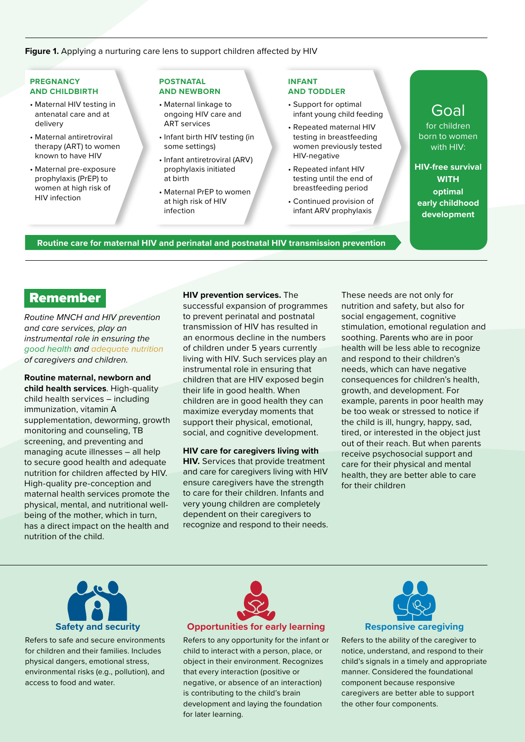#### **Figure 1.** Applying a nurturing care lens to support children affected by HIV

#### **PREGNANCY AND CHILDBIRTH**

- Maternal HIV testing in antenatal care and at delivery
- Maternal antiretroviral therapy (ART) to women known to have HIV
- Maternal pre-exposure prophylaxis (PrEP) to women at high risk of HIV infection

#### **POSTNATAL AND NEWBORN**

- Maternal linkage to ongoing HIV care and ART services
- Infant birth HIV testing (in some settings)
- Infant antiretroviral (ARV) prophylaxis initiated at birth
- Maternal PrEP to women at high risk of HIV infection

#### **INFANT AND TODDLER**

- Support for optimal infant young child feeding
- Repeated maternal HIV testing in breastfeeding women previously tested HIV-negative
- Repeated infant HIV testing until the end of breastfeeding period
- Continued provision of infant ARV prophylaxis

## **Goal**

for children born to women with HIV:

**HIV-free survival WITH optimal early childhood development**

**Routine care for maternal HIV and perinatal and postnatal HIV transmission prevention**

### Remember

*Routine MNCH and HIV prevention and care services, play an instrumental role in ensuring the good health and adequate nutrition of caregivers and children.* 

**Routine maternal, newborn and child health services**. High-quality child health services – including immunization, vitamin A supplementation, deworming, growth monitoring and counseling, TB screening, and preventing and managing acute illnesses – all help to secure good health and adequate nutrition for children affected by HIV. High-quality pre-conception and maternal health services promote the physical, mental, and nutritional wellbeing of the mother, which in turn, has a direct impact on the health and nutrition of the child.

**HIV prevention services.** The successful expansion of programmes to prevent perinatal and postnatal transmission of HIV has resulted in an enormous decline in the numbers of children under 5 years currently living with HIV. Such services play an instrumental role in ensuring that children that are HIV exposed begin their life in good health. When children are in good health they can maximize everyday moments that support their physical, emotional,

**HIV care for caregivers living with HIV.** Services that provide treatment and care for caregivers living with HIV ensure caregivers have the strength to care for their children. Infants and very young children are completely dependent on their caregivers to recognize and respond to their needs.

social, and cognitive development.

These needs are not only for nutrition and safety, but also for social engagement, cognitive stimulation, emotional regulation and soothing. Parents who are in poor health will be less able to recognize and respond to their children's needs, which can have negative consequences for children's health, growth, and development. For example, parents in poor health may be too weak or stressed to notice if the child is ill, hungry, happy, sad, tired, or interested in the object just out of their reach. But when parents receive psychosocial support and care for their physical and mental health, they are better able to care for their children



Refers to safe and secure environments for children and their families. Includes physical dangers, emotional stress, environmental risks (e.g., pollution), and access to food and water.



Refers to any opportunity for the infant or child to interact with a person, place, or object in their environment. Recognizes that every interaction (positive or negative, or absence of an interaction) is contributing to the child's brain development and laying the foundation for later learning.



Refers to the ability of the caregiver to notice, understand, and respond to their child's signals in a timely and appropriate manner. Considered the foundational component because responsive caregivers are better able to support the other four components.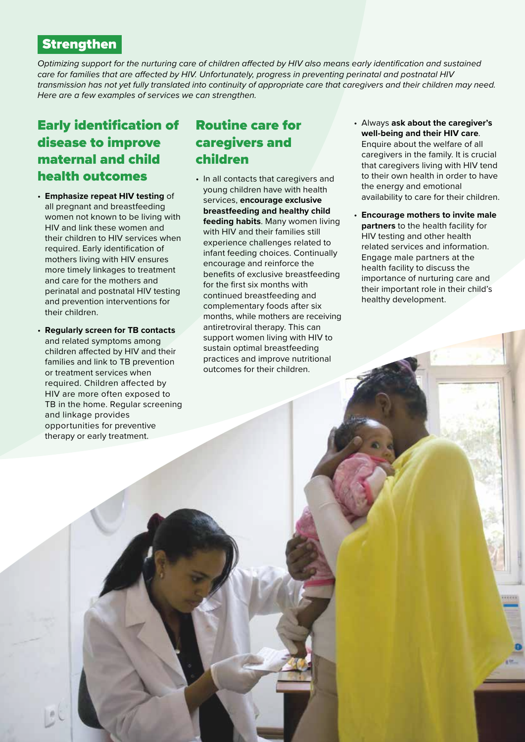### **Strengthen**

*Optimizing support for the nurturing care of children affected by HIV also means early identification and sustained care for families that are affected by HIV. Unfortunately, progress in preventing perinatal and postnatal HIV transmission has not yet fully translated into continuity of appropriate care that caregivers and their children may need. Here are a few examples of services we can strengthen.*

# Early identification of disease to improve maternal and child health outcomes

- **Emphasize repeat HIV testing** of all pregnant and breastfeeding women not known to be living with HIV and link these women and their children to HIV services when required. Early identification of mothers living with HIV ensures more timely linkages to treatment and care for the mothers and perinatal and postnatal HIV testing and prevention interventions for their children.
- **Regularly screen for TB contacts** and related symptoms among children affected by HIV and their families and link to TB prevention or treatment services when required. Children affected by HIV are more often exposed to TB in the home. Regular screening and linkage provides opportunities for preventive therapy or early treatment.

## Routine care for caregivers and children

- In all contacts that caregivers and young children have with health services, **encourage exclusive breastfeeding and healthy child feeding habits**. Many women living with HIV and their families still experience challenges related to infant feeding choices. Continually encourage and reinforce the benefits of exclusive breastfeeding for the first six months with continued breastfeeding and complementary foods after six months, while mothers are receiving antiretroviral therapy. This can support women living with HIV to sustain optimal breastfeeding practices and improve nutritional outcomes for their children.
- Always **ask about the caregiver's well-being and their HIV care**. Enquire about the welfare of all caregivers in the family. It is crucial that caregivers living with HIV tend to their own health in order to have the energy and emotional availability to care for their children.
- **Encourage mothers to invite male partners** to the health facility for HIV testing and other health related services and information. Engage male partners at the health facility to discuss the importance of nurturing care and their important role in their child's healthy development.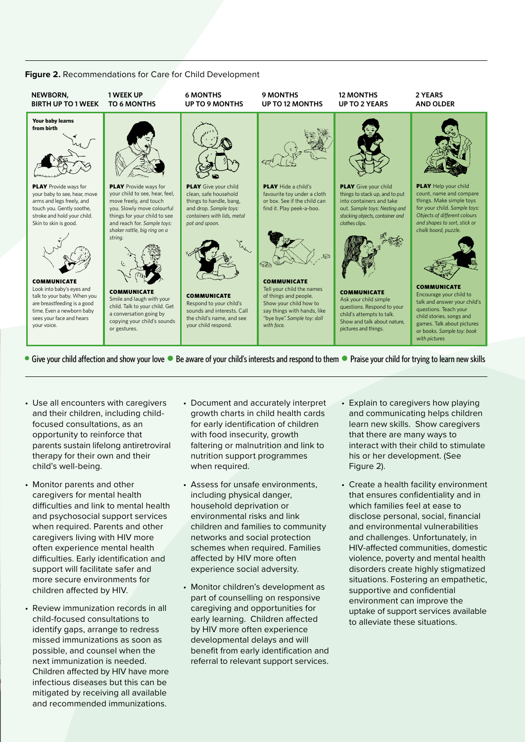#### **Figure 2.** Recommendations for Care for Child Development



• Give your child affection and show your love • Be aware of your child's interests and respond to them • Praise your child for trying to learn new skills

- Use all encounters with caregivers and their children, including childfocused consultations, as an opportunity to reinforce that parents sustain lifelong antiretroviral therapy for their own and their child's well-being.
- Monitor parents and other caregivers for mental health difficulties and link to mental health and psychosocial support services when required. Parents and other caregivers living with HIV more often experience mental health difficulties. Early identification and support will facilitate safer and more secure environments for children affected by HIV.
- Review immunization records in all child-focused consultations to identify gaps, arrange to redress missed immunizations as soon as possible, and counsel when the next immunization is needed. Children affected by HIV have more infectious diseases but this can be mitigated by receiving all available and recommended immunizations.
- Document and accurately interpret growth charts in child health cards for early identification of children with food insecurity, growth faltering or malnutrition and link to nutrition support programmes when required.
- Assess for unsafe environments, including physical danger, household deprivation or environmental risks and link children and families to community networks and social protection schemes when required. Families affected by HIV more often experience social adversity.
- Monitor children's development as part of counselling on responsive caregiving and opportunities for early learning. Children affected by HIV more often experience developmental delays and will benefit from early identification and referral to relevant support services.
- Explain to caregivers how playing and communicating helps children learn new skills. Show caregivers that there are many ways to interact with their child to stimulate his or her development. (See Figure 2).
- Create a health facility environment that ensures confidentiality and in which families feel at ease to disclose personal, social, financial and environmental vulnerabilities and challenges. Unfortunately, in HIV-affected communities, domestic violence, poverty and mental health disorders create highly stigmatized situations. Fostering an empathetic, supportive and confidential environment can improve the uptake of support services available to alleviate these situations.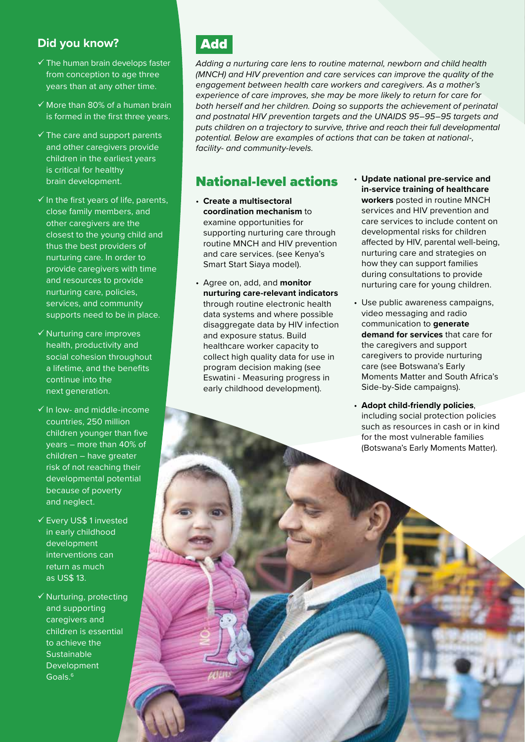### **Did you know?**

- $\checkmark$  The human brain develops faster from conception to age three years than at any other time.
- $\checkmark$  More than 80% of a human brain is formed in the first three years.
- $\checkmark$  The care and support parents and other caregivers provide children in the earliest years is critical for healthy brain development.
- $\checkmark$  In the first years of life, parents, close family members, and other caregivers are the closest to the young child and thus the best providers of nurturing care. In order to provide caregivers with time and resources to provide nurturing care, policies, services, and community supports need to be in place.
- $\checkmark$  Nurturing care improves health, productivity and social cohesion throughout a lifetime, and the benefits continue into the next generation.
- $\checkmark$  In low- and middle-income countries, 250 million children younger than five years – more than 40% of children – have greater risk of not reaching their developmental potential because of poverty and neglect.
- Every US\$ 1 invested in early childhood development interventions can return as much as US\$ 13.
- $\checkmark$  Nurturing, protecting and supporting caregivers and children is essential to achieve the **Sustainable** Development Goals.6

# Add

*Adding a nurturing care lens to routine maternal, newborn and child health (MNCH) and HIV prevention and care services can improve the quality of the engagement between health care workers and caregivers. As a mother's experience of care improves, she may be more likely to return for care for both herself and her children. Doing so supports the achievement of perinatal and postnatal HIV prevention targets and the UNAIDS 95–95–95 targets and puts children on a trajectory to survive, thrive and reach their full developmental potential. Below are examples of actions that can be taken at national-, facility- and community-levels.*

### National-level actions

- **Create a multisectoral coordination mechanism** to examine opportunities for supporting nurturing care through routine MNCH and HIV prevention and care services. (see Kenya's Smart Start Siaya model).
- Agree on, add, and **monitor nurturing care-relevant indicators** through routine electronic health data systems and where possible disaggregate data by HIV infection and exposure status. Build healthcare worker capacity to collect high quality data for use in program decision making (see Eswatini - Measuring progress in early childhood development).
- **Update national pre-service and in-service training of healthcare workers** posted in routine MNCH services and HIV prevention and care services to include content on developmental risks for children affected by HIV, parental well-being, nurturing care and strategies on how they can support families during consultations to provide nurturing care for young children.
- Use public awareness campaigns, video messaging and radio communication to **generate demand for services** that care for the caregivers and support caregivers to provide nurturing care (see Botswana's Early Moments Matter and South Africa's Side-by-Side campaigns).
- **Adopt child-friendly policies**, including social protection policies such as resources in cash or in kind for the most vulnerable families (Botswana's Early Moments Matter).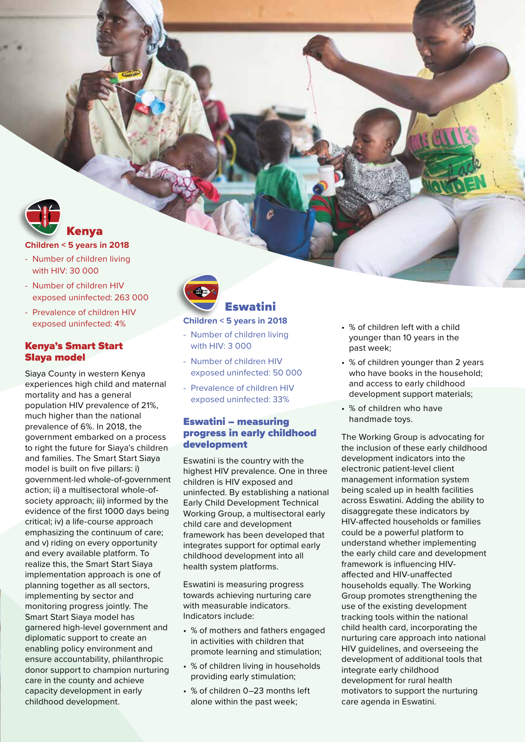

### **Children < 5 years in 2018**

- Number of children living with HIV: 30 000
- Number of children HIV exposed uninfected: 263 000

Kenya

- Prevalence of children HIV exposed uninfected: 4%

#### Kenya's Smart Start SIaya model

Siaya County in western Kenya experiences high child and maternal mortality and has a general population HIV prevalence of 21%, much higher than the national prevalence of 6%. In 2018, the government embarked on a process to right the future for Siaya's children and families. The Smart Start Siaya model is built on five pillars: i) government-led whole-of-government action; ii) a multisectoral whole-ofsociety approach; iii) informed by the evidence of the first 1000 days being critical; iv) a life-course approach emphasizing the continuum of care; and v) riding on every opportunity and every available platform. To realize this, the Smart Start Siaya implementation approach is one of planning together as all sectors, implementing by sector and monitoring progress jointly. The Smart Start Siaya model has garnered high-level government and diplomatic support to create an enabling policy environment and ensure accountability, philanthropic donor support to champion nurturing care in the county and achieve capacity development in early childhood development.



### **Children < 5 years in 2018**

- Number of children living with HIV: 3 000
- Number of children HIV exposed uninfected: 50 000
- Prevalence of children HIV exposed uninfected: 33%

#### Eswatini – measuring progress in early childhood development

Eswatini is the country with the highest HIV prevalence. One in three children is HIV exposed and uninfected. By establishing a national Early Child Development Technical Working Group, a multisectoral early child care and development framework has been developed that integrates support for optimal early childhood development into all health system platforms.

Eswatini is measuring progress towards achieving nurturing care with measurable indicators. Indicators include:

- % of mothers and fathers engaged in activities with children that promote learning and stimulation;
- % of children living in households providing early stimulation;
- % of children 0–23 months left alone within the past week;
- % of children left with a child younger than 10 years in the past week;
- % of children younger than 2 years who have books in the household; and access to early childhood development support materials;
- % of children who have handmade toys.

The Working Group is advocating for the inclusion of these early childhood development indicators into the electronic patient-level client management information system being scaled up in health facilities across Eswatini. Adding the ability to disaggregate these indicators by HIV-affected households or families could be a powerful platform to understand whether implementing the early child care and development framework is influencing HIVaffected and HIV-unaffected households equally. The Working Group promotes strengthening the use of the existing development tracking tools within the national child health card, incorporating the nurturing care approach into national HIV guidelines, and overseeing the development of additional tools that integrate early childhood development for rural health motivators to support the nurturing care agenda in Eswatini.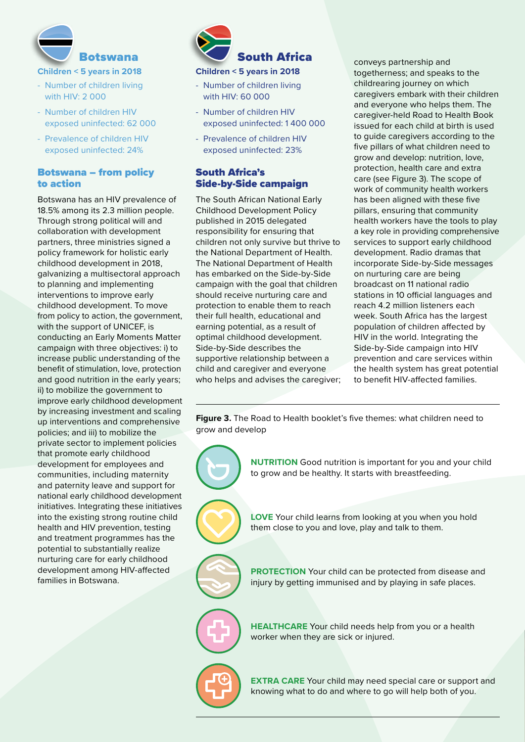

- Number of children living with HIV: 2 000
- Number of children HIV exposed uninfected: 62 000
- Prevalence of children HIV exposed uninfected: 24%

#### Botswana – from policy to action

Botswana has an HIV prevalence of 18.5% among its 2.3 million people. Through strong political will and collaboration with development partners, three ministries signed a policy framework for holistic early childhood development in 2018, galvanizing a multisectoral approach to planning and implementing interventions to improve early childhood development. To move from policy to action, the government, with the support of UNICEF, is conducting an Early Moments Matter campaign with three objectives: i) to increase public understanding of the benefit of stimulation, love, protection and good nutrition in the early years; ii) to mobilize the government to improve early childhood development by increasing investment and scaling up interventions and comprehensive policies; and iii) to mobilize the private sector to implement policies that promote early childhood development for employees and communities, including maternity and paternity leave and support for national early childhood development initiatives. Integrating these initiatives into the existing strong routine child health and HIV prevention, testing and treatment programmes has the potential to substantially realize nurturing care for early childhood development among HIV-affected families in Botswana.



- Number of children living with HIV: 60 000
- Number of children HIV exposed uninfected: 1 400 000
- Prevalence of children HIV exposed uninfected: 23%

#### South Africa's Side-by-Side campaign

The South African National Early Childhood Development Policy published in 2015 delegated responsibility for ensuring that children not only survive but thrive to the National Department of Health. The National Department of Health has embarked on the Side-by-Side campaign with the goal that children should receive nurturing care and protection to enable them to reach their full health, educational and earning potential, as a result of optimal childhood development. Side-by-Side describes the supportive relationship between a child and caregiver and everyone who helps and advises the caregiver; conveys partnership and togetherness; and speaks to the childrearing journey on which caregivers embark with their children and everyone who helps them. The caregiver-held Road to Health Book issued for each child at birth is used to guide caregivers according to the five pillars of what children need to grow and develop: nutrition, love, protection, health care and extra care (see Figure 3). The scope of work of community health workers has been aligned with these five pillars, ensuring that community health workers have the tools to play a key role in providing comprehensive services to support early childhood development. Radio dramas that incorporate Side-by-Side messages on nurturing care are being broadcast on 11 national radio stations in 10 official languages and reach 4.2 million listeners each week. South Africa has the largest population of children affected by HIV in the world. Integrating the Side-by-Side campaign into HIV prevention and care services within the health system has great potential to benefit HIV-affected families.

**Figure 3.** The Road to Health booklet's five themes: what children need to grow and develop

> **NUTRITION** Good nutrition is important for you and your child to grow and be healthy. It starts with breastfeeding.

**LOVE** Your child learns from looking at you when you hold them close to you and love, play and talk to them.

**PROTECTION** Your child can be protected from disease and injury by getting immunised and by playing in safe places.

**HEALTHCARE** Your child needs help from you or a health worker when they are sick or injured.

**EXTRA CARE** Your child may need special care or support and knowing what to do and where to go will help both of you.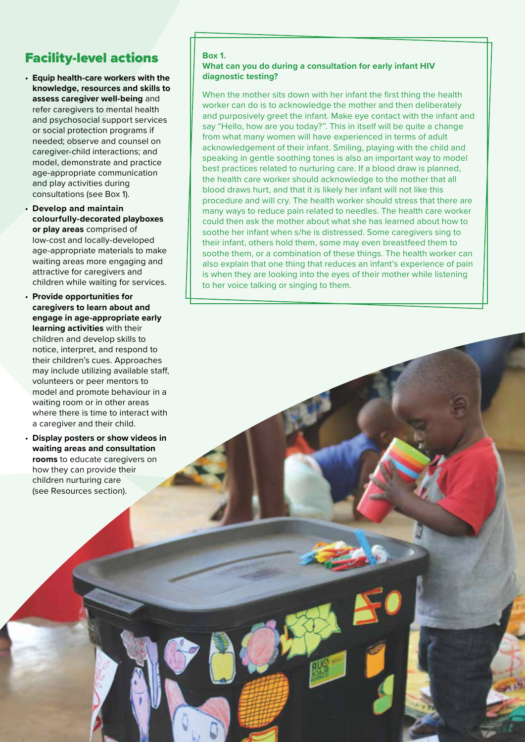# Facility-level actions

- **Equip health-care workers with the knowledge, resources and skills to assess caregiver well-being** and refer caregivers to mental health and psychosocial support services or social protection programs if needed; observe and counsel on caregiver-child interactions; and model, demonstrate and practice age-appropriate communication and play activities during consultations (see Box 1).
- **Develop and maintain colourfully-decorated playboxes or play areas** comprised of low-cost and locally-developed age-appropriate materials to make waiting areas more engaging and attractive for caregivers and children while waiting for services.
- **Provide opportunities for caregivers to learn about and engage in age-appropriate early learning activities** with their children and develop skills to notice, interpret, and respond to their children's cues. Approaches may include utilizing available staff, volunteers or peer mentors to model and promote behaviour in a waiting room or in other areas where there is time to interact with a caregiver and their child.
- **Display posters or show videos in waiting areas and consultation rooms** to educate caregivers on how they can provide their children nurturing care (see Resources section).

#### **Box 1.**

#### **What can you do during a consultation for early infant HIV diagnostic testing?**

When the mother sits down with her infant the first thing the health worker can do is to acknowledge the mother and then deliberately and purposively greet the infant. Make eye contact with the infant and say "Hello, how are you today?". This in itself will be quite a change from what many women will have experienced in terms of adult acknowledgement of their infant. Smiling, playing with the child and speaking in gentle soothing tones is also an important way to model best practices related to nurturing care. If a blood draw is planned, the health care worker should acknowledge to the mother that all blood draws hurt, and that it is likely her infant will not like this procedure and will cry. The health worker should stress that there are many ways to reduce pain related to needles. The health care worker could then ask the mother about what she has learned about how to soothe her infant when s/he is distressed. Some caregivers sing to their infant, others hold them, some may even breastfeed them to soothe them, or a combination of these things. The health worker can also explain that one thing that reduces an infant's experience of pain is when they are looking into the eyes of their mother while listening to her voice talking or singing to them.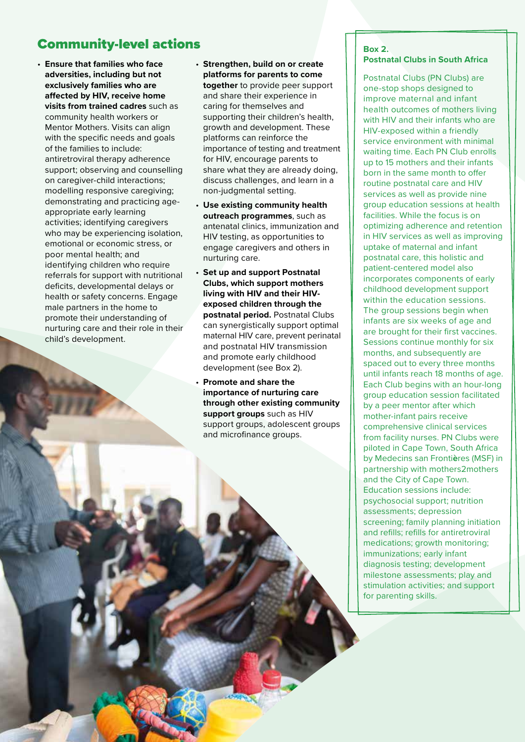# **Community-level actions and all the set of the set of the set of the set of the set of the set of the set of the set of the set of the set of the set of the set of the set of the set of the set of the set of the set of th**

- **Ensure that families who face adversities, including but not exclusively families who are affected by HIV, receive home visits from trained cadres** such as community health workers or Mentor Mothers. Visits can align with the specific needs and goals of the families to include: antiretroviral therapy adherence support; observing and counselling on caregiver-child interactions; modelling responsive caregiving; demonstrating and practicing ageappropriate early learning activities; identifying caregivers who may be experiencing isolation. emotional or economic stress, or poor mental health; and identifying children who require referrals for support with nutritional deficits, developmental delays or health or safety concerns. Engage male partners in the home to promote their understanding of nurturing care and their role in their child's development.
- **Strengthen, build on or create platforms for parents to come together** to provide peer support and share their experience in caring for themselves and supporting their children's health, growth and development. These platforms can reinforce the importance of testing and treatment for HIV, encourage parents to share what they are already doing, discuss challenges, and learn in a non-judgmental setting.
- **Use existing community health outreach programmes**, such as antenatal clinics, immunization and HIV testing, as opportunities to engage caregivers and others in nurturing care.
- **Set up and support Postnatal Clubs, which support mothers living with HIV and their HIVexposed children through the postnatal period.** Postnatal Clubs can synergistically support optimal maternal HIV care, prevent perinatal and postnatal HIV transmission and promote early childhood development (see Box 2).
- **Promote and share the importance of nurturing care through other existing community support groups** such as HIV support groups, adolescent groups and microfinance groups.

# **Postnatal Clubs in South Africa**

Postnatal Clubs (PN Clubs) are one-stop shops designed to improve maternal and infant health outcomes of mothers living with HIV and their infants who are HIV-exposed within a friendly service environment with minimal waiting time. Each PN Club enrolls up to 15 mothers and their infants born in the same month to offer routine postnatal care and HIV services as well as provide nine group education sessions at health facilities. While the focus is on optimizing adherence and retention in HIV services as well as improving uptake of maternal and infant postnatal care, this holistic and patient-centered model also incorporates components of early childhood development support within the education sessions. The group sessions begin when infants are six weeks of age and are brought for their first vaccines. Sessions continue monthly for six months, and subsequently are spaced out to every three months until infants reach 18 months of age. Each Club begins with an hour-long group education session facilitated by a peer mentor after which mother-infant pairs receive comprehensive clinical services from facility nurses. PN Clubs were piloted in Cape Town, South Africa by Medecins san Fronti**è**res (MSF) in partnership with mothers2mothers and the City of Cape Town. Education sessions include: psychosocial support; nutrition assessments; depression screening; family planning initiation and refills; refills for antiretroviral medications; growth monitoring; immunizations; early infant diagnosis testing; development milestone assessments; play and stimulation activities; and support for parenting skills.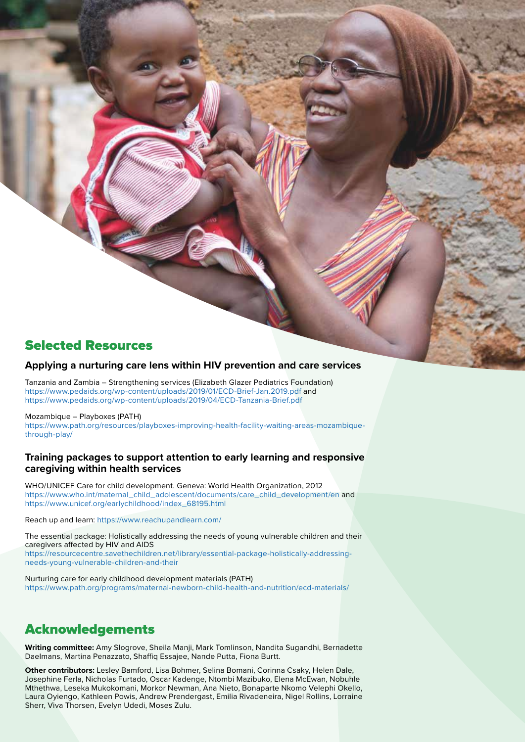### Selected Resources

#### **Applying a nurturing care lens within HIV prevention and care services**

Tanzania and Zambia – Strengthening services (Elizabeth Glazer Pediatrics Foundation) <https://www.pedaids.org/wp-content/uploads/2019/01/ECD-Brief-Jan.2019.pdf>and <https://www.pedaids.org/wp-content/uploads/2019/04/ECD-Tanzania-Brief.pdf>

Mozambique – Playboxes (PATH) [https://www.path.org/resources/playboxes-improving-health-facility-waiting-areas-mozambique](https://www.path.org/resources/playboxes-improving-health-facility-waiting-areas-mozambique-through-play/)[through-play/](https://www.path.org/resources/playboxes-improving-health-facility-waiting-areas-mozambique-through-play/)

#### **Training packages to support attention to early learning and responsive caregiving within health services**

WHO/UNICEF Care for child development. Geneva: World Health Organization, 2012 [https://www.who.int/maternal\\_child\\_adolescent/documents/care\\_child\\_development/en](https://www.who.int/maternal_child_adolescent/documents/care_child_development/en/) and [https://www.unicef.org/earlychildhood/index\\_68195.html](https://www.unicef.org/earlychildhood/index_68195.html)

Reach up and learn:<https://www.reachupandlearn.com/>

The essential package: Holistically addressing the needs of young vulnerable children and their caregivers affected by HIV and AIDS [https://resourcecentre.savethechildren.net/library/essential-package-holistically-addressing-](https://resourcecentre.savethechildren.net/library/essential-package-holistically-addressing-needs-young-vulnerable-children-and-their)

[needs-young-vulnerable-children-and-their](https://resourcecentre.savethechildren.net/library/essential-package-holistically-addressing-needs-young-vulnerable-children-and-their)

Nurturing care for early childhood development materials (PATH) <https://www.path.org/programs/maternal-newborn-child-health-and-nutrition/ecd-materials/>

### Acknowledgements

**Writing committee:** Amy Slogrove, Sheila Manji, Mark Tomlinson, Nandita Sugandhi, Bernadette Daelmans, Martina Penazzato, Shaffiq Essajee, Nande Putta, Fiona Burtt.

**Other contributors:** Lesley Bamford, Lisa Bohmer, Selina Bomani, Corinna Csaky, Helen Dale, Josephine Ferla, Nicholas Furtado, Oscar Kadenge, Ntombi Mazibuko, Elena McEwan, Nobuhle Mthethwa, Leseka Mukokomani, Morkor Newman, Ana Nieto, Bonaparte Nkomo Velephi Okello, Laura Oyiengo, Kathleen Powis, Andrew Prendergast, Emilia Rivadeneira, Nigel Rollins, Lorraine Sherr, Viva Thorsen, Evelyn Udedi, Moses Zulu.